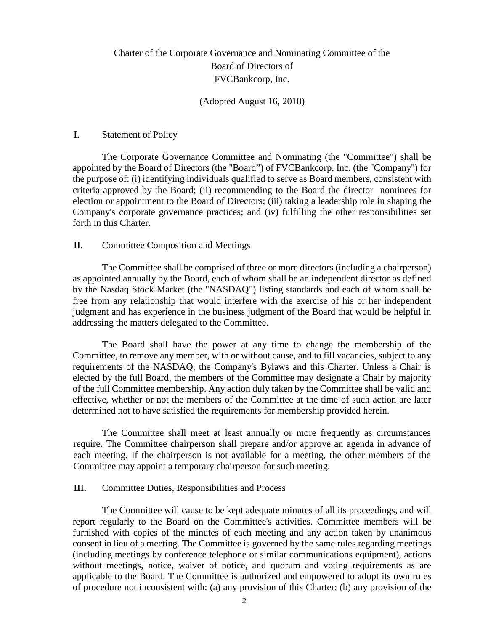# Charter of the Corporate Governance and Nominating Committee of the Board of Directors of FVCBankcorp, Inc.

## (Adopted August 16, 2018)

#### I. Statement of Policy

The Corporate Governance Committee and Nominating (the "Committee") shall be appointed by the Board of Directors (the "Board") of FVCBankcorp, Inc. (the "Company'') for the purpose of: (i) identifying individuals qualified to serve as Board members, consistent with criteria approved by the Board; (ii) recommending to the Board the director nominees for election or appointment to the Board of Directors; (iii) taking a leadership role in shaping the Company's corporate governance practices; and (iv) fulfilling the other responsibilities set forth in this Charter.

## II. Committee Composition and Meetings

The Committee shall be comprised of three or more directors (including a chairperson) as appointed annually by the Board, each of whom shall be an independent director as defined by the Nasdaq Stock Market (the ''NASDAQ") listing standards and each of whom shall be free from any relationship that would interfere with the exercise of his or her independent judgment and has experience in the business judgment of the Board that would be helpful in addressing the matters delegated to the Committee.

The Board shall have the power at any time to change the membership of the Committee, to remove any member, with or without cause, and to fill vacancies, subject to any requirements of the NASDAQ, the Company's Bylaws and this Charter. Unless a Chair is elected by the full Board, the members of the Committee may designate a Chair by majority of the full Committee membership. Any action duly taken by the Committee shall be valid and effective, whether or not the members of the Committee at the time of such action are later determined not to have satisfied the requirements for membership provided herein.

The Committee shall meet at least annually or more frequently as circumstances require. The Committee chairperson shall prepare and/or approve an agenda in advance of each meeting. If the chairperson is not available for a meeting, the other members of the Committee may appoint a temporary chairperson for such meeting.

# III. Committee Duties, Responsibilities and Process

The Committee will cause to be kept adequate minutes of all its proceedings, and will report regularly to the Board on the Committee's activities. Committee members will be furnished with copies of the minutes of each meeting and any action taken by unanimous consent in lieu of a meeting. The Committee is governed by the same rules regarding meetings (including meetings by conference telephone or similar communications equipment), actions without meetings, notice, waiver of notice, and quorum and voting requirements as are applicable to the Board. The Committee is authorized and empowered to adopt its own rules of procedure not inconsistent with: (a) any provision of this Charter; (b) any provision of the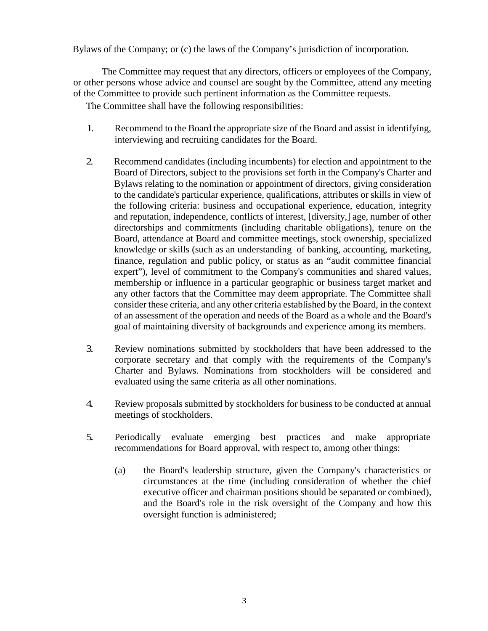Bylaws of the Company; or (c) the laws of the Company's jurisdiction of incorporation.

The Committee may request that any directors, officers or employees of the Company, or other persons whose advice and counsel are sought by the Committee, attend any meeting of the Committee to provide such pertinent information as the Committee requests.

The Committee shall have the following responsibilities:

- 1. Recommend to the Board the appropriate size of the Board and assist in identifying, interviewing and recruiting candidates for the Board.
- 2. Recommend candidates (including incumbents) for election and appointment to the Board of Directors, subject to the provisions set forth in the Company's Charter and Bylaws relating to the nomination or appointment of directors, giving consideration to the candidate's particular experience, qualifications, attributes or skills in view of the following criteria: business and occupational experience, education, integrity and reputation, independence, conflicts of interest, [diversity,] age, number of other directorships and commitments (including charitable obligations), tenure on the Board, attendance at Board and committee meetings, stock ownership, specialized knowledge or skills (such as an understanding of banking, accounting, marketing, finance, regulation and public policy, or status as an "audit committee financial expert"), level of commitment to the Company's communities and shared values, membership or influence in a particular geographic or business target market and any other factors that the Committee may deem appropriate. The Committee shall consider these criteria, and any other criteria established by the Board, in the context of an assessment of the operation and needs of the Board as a whole and the Board's goal of maintaining diversity of backgrounds and experience among its members.
- 3. Review nominations submitted by stockholders that have been addressed to the corporate secretary and that comply with the requirements of the Company's Charter and Bylaws. Nominations from stockholders will be considered and evaluated using the same criteria as all other nominations.
- 4. Review proposals submitted by stockholders for business to be conducted at annual meetings of stockholders.
- 5. Periodically evaluate emerging best practices and make appropriate recommendations for Board approval, with respect to, among other things:
	- (a) the Board's leadership structure, given the Company's characteristics or circumstances at the time (including consideration of whether the chief executive officer and chairman positions should be separated or combined), and the Board's role in the risk oversight of the Company and how this oversight function is administered;